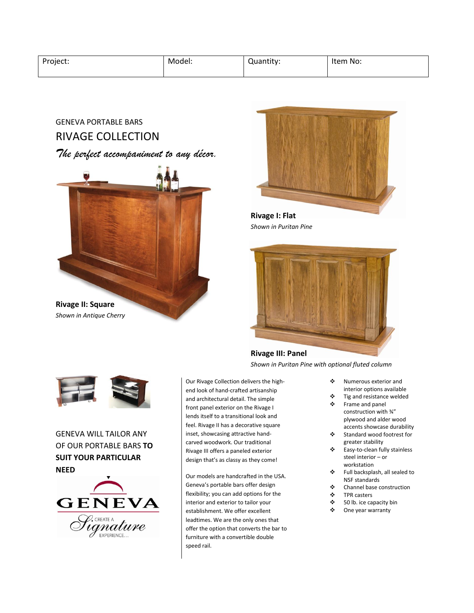| Project: | Model: | Quantity: | Item No: |
|----------|--------|-----------|----------|
|          |        |           |          |

# GENEVA PORTABLE BARS RIVAGE COLLECTION

## *The perfect accompaniment to any décor.*





# GENEVA WILL TAILOR ANY OF OUR PORTABLE BARS **TO SUIT YOUR PARTICULAR NEED**



Our Rivage Collection delivers the highend look of hand-crafted artisanship and architectural detail. The simple front panel exterior on the Rivage I lends itself to a transitional look and feel. Rivage II has a decorative square inset, showcasing attractive handcarved woodwork. Our traditional Rivage III offers a paneled exterior design that's as classy as they come!

Our models are handcrafted in the USA. Geneva's portable bars offer design flexibility; you can add options for the interior and exterior to tailor your establishment. We offer excellent leadtimes. We are the only ones that offer the option that converts the bar to furniture with a convertible double speed rail.



**Rivage I: Flat** *Shown in Puritan Pine*



### **Rivage III: Panel**

*Shown in Puritan Pine with optional fluted column*

- Numerous exterior and interior options available
- Tig and resistance welded
- Frame and panel
- construction with ¾" plywood and alder wood accents showcase durability
- Standard wood footrest for greater stability
- Easy-to-clean fully stainless steel interior – or workstation
- Full backsplash, all sealed to NSF standards
- **Channel base construction**<br> **EXECUTE:**
- TPR casters
- $\frac{1}{2}$  50 lb. ice capacity bin<br>  $\frac{1}{2}$  One year warranty
- One year warranty